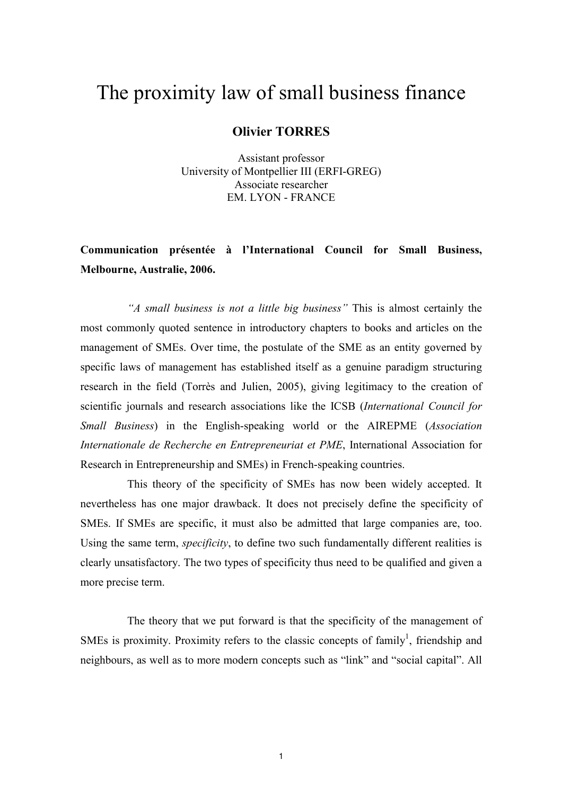# The proximity law of small business finance

# **Olivier TORRES**

Assistant professor University of Montpellier III (ERFI-GREG) Associate researcher **EM. LYON - FRANCE** 

# Communication présentée à l'International Council for Small Business, Melbourne, Australie, 2006.

"A small business is not a little big business" This is almost certainly the most commonly quoted sentence in introductory chapters to books and articles on the management of SMEs. Over time, the postulate of the SME as an entity governed by specific laws of management has established itself as a genuine paradigm structuring research in the field (Torrès and Julien, 2005), giving legitimacy to the creation of scientific journals and research associations like the ICSB (International Council for Small Business) in the English-speaking world or the AIREPME (Association Internationale de Recherche en Entrepreneuriat et PME, International Association for Research in Entrepreneurship and SMEs) in French-speaking countries.

This theory of the specificity of SMEs has now been widely accepted. It nevertheless has one major drawback. It does not precisely define the specificity of SMEs. If SMEs are specific, it must also be admitted that large companies are, too. Using the same term, *specificity*, to define two such fundamentally different realities is clearly unsatisfactory. The two types of specificity thus need to be qualified and given a more precise term.

The theory that we put forward is that the specificity of the management of SMEs is proximity. Proximity refers to the classic concepts of family<sup>1</sup>, friendship and neighbours, as well as to more modern concepts such as "link" and "social capital". All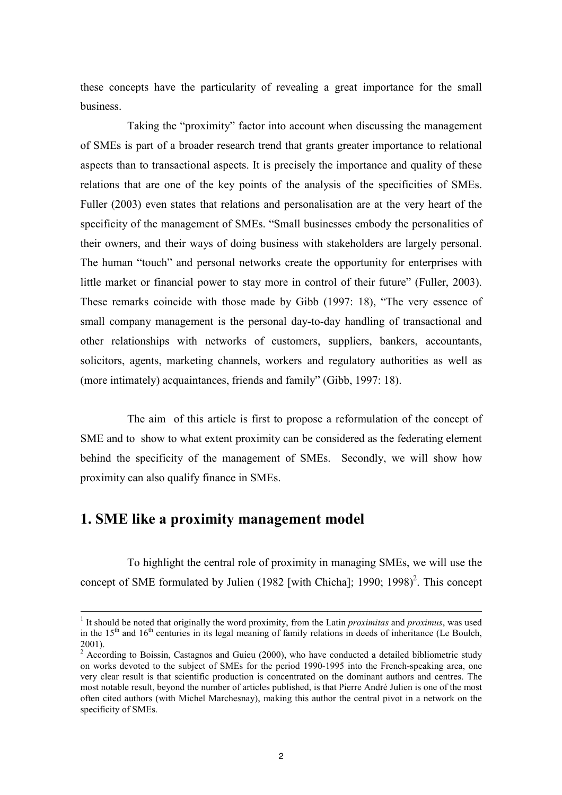these concepts have the particularity of revealing a great importance for the small business.

Taking the "proximity" factor into account when discussing the management of SMEs is part of a broader research trend that grants greater importance to relational aspects than to transactional aspects. It is precisely the importance and quality of these relations that are one of the key points of the analysis of the specificities of SMEs. Fuller (2003) even states that relations and personalisation are at the very heart of the specificity of the management of SMEs. "Small businesses embody the personalities of their owners, and their ways of doing business with stakeholders are largely personal. The human "touch" and personal networks create the opportunity for enterprises with little market or financial power to stay more in control of their future" (Fuller, 2003). These remarks coincide with those made by Gibb (1997: 18), "The very essence of small company management is the personal day-to-day handling of transactional and other relationships with networks of customers, suppliers, bankers, accountants, solicitors, agents, marketing channels, workers and regulatory authorities as well as (more intimately) acquaintances, friends and family" (Gibb, 1997: 18).

The aim of this article is first to propose a reformulation of the concept of SME and to show to what extent proximity can be considered as the federating element behind the specificity of the management of SMEs. Secondly, we will show how proximity can also qualify finance in SMEs.

# 1. SME like a proximity management model

To highlight the central role of proximity in managing SMEs, we will use the concept of SME formulated by Julien (1982 [with Chicha]; 1990; 1998)<sup>2</sup>. This concept

<sup>&</sup>lt;sup>1</sup> It should be noted that originally the word proximity, from the Latin *proximitas* and *proximus*, was used in the  $15<sup>th</sup>$  and  $16<sup>th</sup>$  centuries in its legal meaning of family relations in deeds of inheritance (Le Boulch,  $2001$ ).

 $2$  According to Boissin, Castagnos and Guieu (2000), who have conducted a detailed bibliometric study on works devoted to the subject of SMEs for the period 1990-1995 into the French-speaking area, one very clear result is that scientific production is concentrated on the dominant authors and centres. The most notable result, beyond the number of articles published, is that Pierre André Julien is one of the most often cited authors (with Michel Marchesnay), making this author the central pivot in a network on the specificity of SMEs.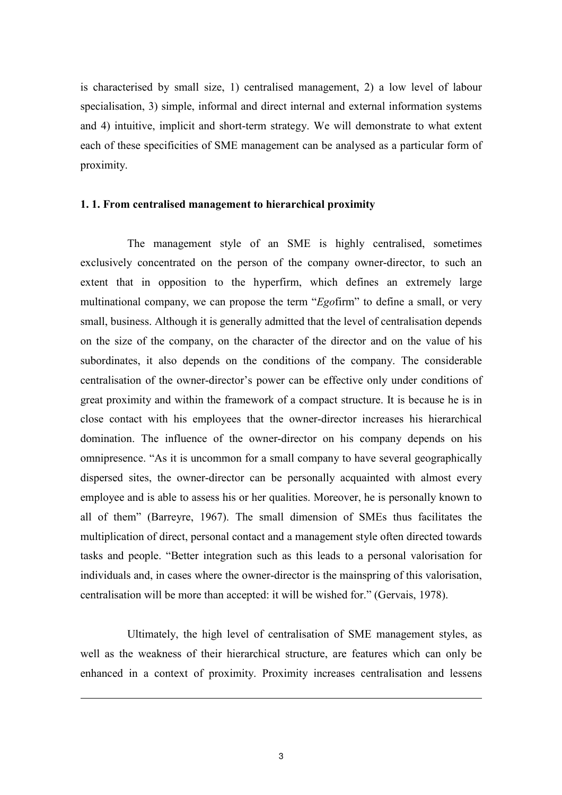is characterised by small size, 1) centralised management, 2) a low level of labour specialisation, 3) simple, informal and direct internal and external information systems and 4) intuitive, implicit and short-term strategy. We will demonstrate to what extent each of these specificities of SME management can be analysed as a particular form of proximity.

### 1.1. From centralised management to hierarchical proximity

The management style of an SME is highly centralised, sometimes exclusively concentrated on the person of the company owner-director, to such an extent that in opposition to the hyperfirm, which defines an extremely large multinational company, we can propose the term "Egofirm" to define a small, or very small, business. Although it is generally admitted that the level of centralisation depends on the size of the company, on the character of the director and on the value of his subordinates, it also depends on the conditions of the company. The considerable centralisation of the owner-director's power can be effective only under conditions of great proximity and within the framework of a compact structure. It is because he is in close contact with his employees that the owner-director increases his hierarchical domination. The influence of the owner-director on his company depends on his omnipresence. "As it is uncommon for a small company to have several geographically dispersed sites, the owner-director can be personally acquainted with almost every employee and is able to assess his or her qualities. Moreover, he is personally known to all of them" (Barreyre, 1967). The small dimension of SMEs thus facilitates the multiplication of direct, personal contact and a management style often directed towards tasks and people. "Better integration such as this leads to a personal valorisation for individuals and, in cases where the owner-director is the mainspring of this valorisation, centralisation will be more than accepted: it will be wished for." (Gervais, 1978).

Ultimately, the high level of centralisation of SME management styles, as well as the weakness of their hierarchical structure, are features which can only be enhanced in a context of proximity. Proximity increases centralisation and lessens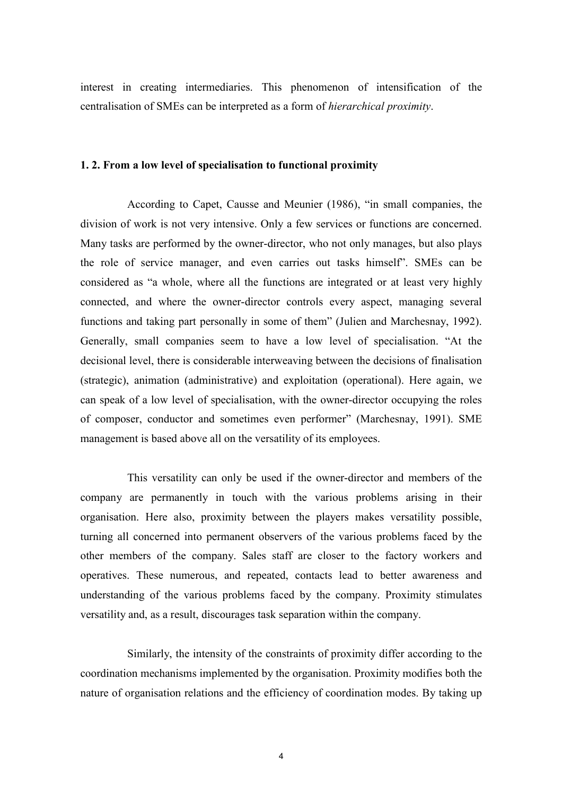interest in creating intermediaries. This phenomenon of intensification of the centralisation of SMEs can be interpreted as a form of *hierarchical proximity*.

### 1.2. From a low level of specialisation to functional proximity

According to Capet, Causse and Meunier (1986), "in small companies, the division of work is not very intensive. Only a few services or functions are concerned. Many tasks are performed by the owner-director, who not only manages, but also plays the role of service manager, and even carries out tasks himself". SMEs can be considered as "a whole, where all the functions are integrated or at least very highly connected, and where the owner-director controls every aspect, managing several functions and taking part personally in some of them" (Julien and Marchesnay, 1992). Generally, small companies seem to have a low level of specialisation. "At the decisional level, there is considerable interweaving between the decisions of finalisation (strategic), animation (administrative) and exploitation (operational). Here again, we can speak of a low level of specialisation, with the owner-director occupying the roles of composer, conductor and sometimes even performer" (Marchesnay, 1991). SME management is based above all on the versatility of its employees.

This versatility can only be used if the owner-director and members of the company are permanently in touch with the various problems arising in their organisation. Here also, proximity between the players makes versatility possible, turning all concerned into permanent observers of the various problems faced by the other members of the company. Sales staff are closer to the factory workers and operatives. These numerous, and repeated, contacts lead to better awareness and understanding of the various problems faced by the company. Proximity stimulates versatility and, as a result, discourages task separation within the company.

Similarly, the intensity of the constraints of proximity differ according to the coordination mechanisms implemented by the organisation. Proximity modifies both the nature of organisation relations and the efficiency of coordination modes. By taking up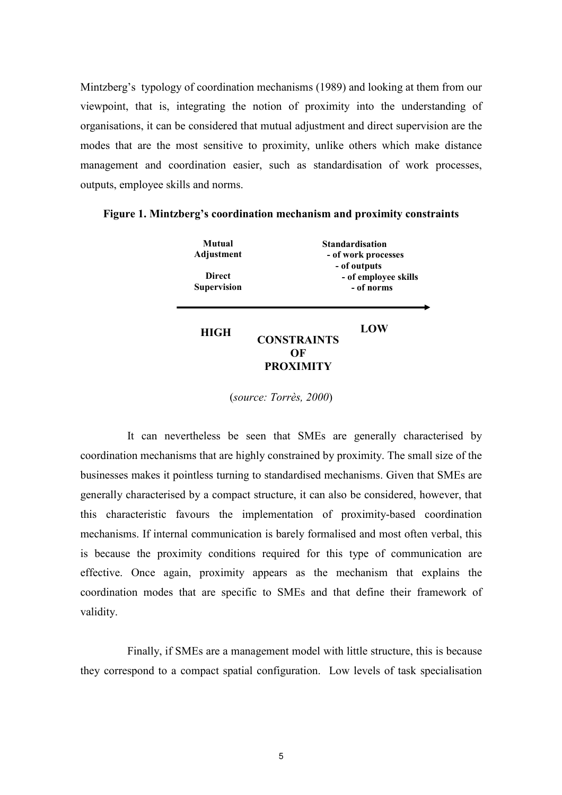Mintzberg's typology of coordination mechanisms (1989) and looking at them from our viewpoint, that is, integrating the notion of proximity into the understanding of organisations, it can be considered that mutual adjustment and direct supervision are the modes that are the most sensitive to proximity, unlike others which make distance management and coordination easier, such as standardisation of work processes, outputs, employee skills and norms.

| Mutual<br>Adjustment                |                                                    | <b>Standardisation</b><br>- of work processes |
|-------------------------------------|----------------------------------------------------|-----------------------------------------------|
| <b>Direct</b><br><b>Supervision</b> | - of outputs<br>- of employee skills<br>- of norms |                                               |
| <b>HIGH</b>                         | <b>CONSTRAINTS</b>                                 | LOW                                           |
|                                     | OЕ<br><b>PROXIMITY</b>                             |                                               |

Figure 1. Mintzberg's coordination mechanism and proximity constraints

(source: Torrès, 2000)

It can nevertheless be seen that SMEs are generally characterised by coordination mechanisms that are highly constrained by proximity. The small size of the businesses makes it pointless turning to standardised mechanisms. Given that SMEs are generally characterised by a compact structure, it can also be considered, however, that this characteristic favours the implementation of proximity-based coordination mechanisms. If internal communication is barely formalised and most often verbal, this is because the proximity conditions required for this type of communication are effective. Once again, proximity appears as the mechanism that explains the coordination modes that are specific to SMEs and that define their framework of validity.

Finally, if SMEs are a management model with little structure, this is because they correspond to a compact spatial configuration. Low levels of task specialisation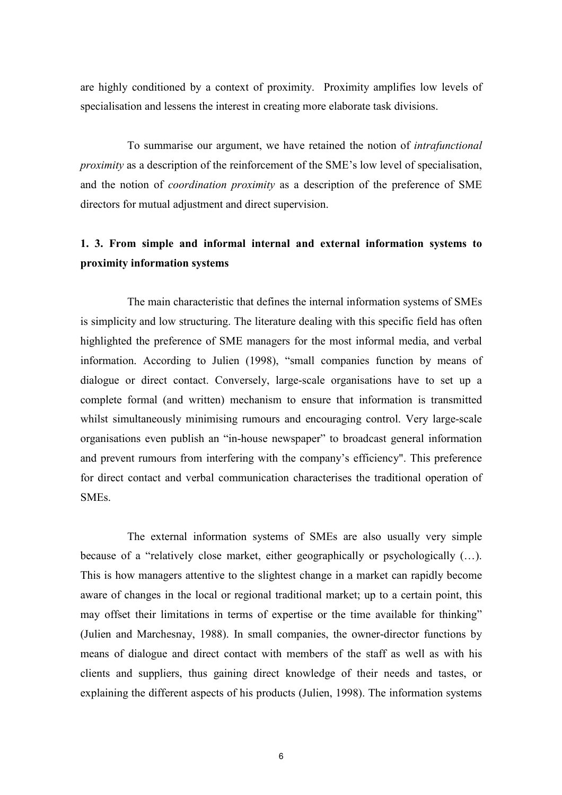are highly conditioned by a context of proximity. Proximity amplifies low levels of specialisation and lessens the interest in creating more elaborate task divisions.

To summarise our argument, we have retained the notion of *intrafunctional proximity* as a description of the reinforcement of the SME's low level of specialisation, and the notion of *coordination proximity* as a description of the preference of SME directors for mutual adjustment and direct supervision.

# 1. 3. From simple and informal internal and external information systems to proximity information systems

The main characteristic that defines the internal information systems of SMEs is simplicity and low structuring. The literature dealing with this specific field has often highlighted the preference of SME managers for the most informal media, and verbal information. According to Julien (1998), "small companies function by means of dialogue or direct contact. Conversely, large-scale organisations have to set up a complete formal (and written) mechanism to ensure that information is transmitted whilst simultaneously minimising rumours and encouraging control. Very large-scale organisations even publish an "in-house newspaper" to broadcast general information and prevent rumours from interfering with the company's efficiency". This preference for direct contact and verbal communication characterises the traditional operation of SME<sub>s</sub>.

The external information systems of SMEs are also usually very simple because of a "relatively close market, either geographically or psychologically  $(\ldots)$ . This is how managers attentive to the slightest change in a market can rapidly become aware of changes in the local or regional traditional market; up to a certain point, this may offset their limitations in terms of expertise or the time available for thinking" (Julien and Marchesnay, 1988). In small companies, the owner-director functions by means of dialogue and direct contact with members of the staff as well as with his clients and suppliers, thus gaining direct knowledge of their needs and tastes, or explaining the different aspects of his products (Julien, 1998). The information systems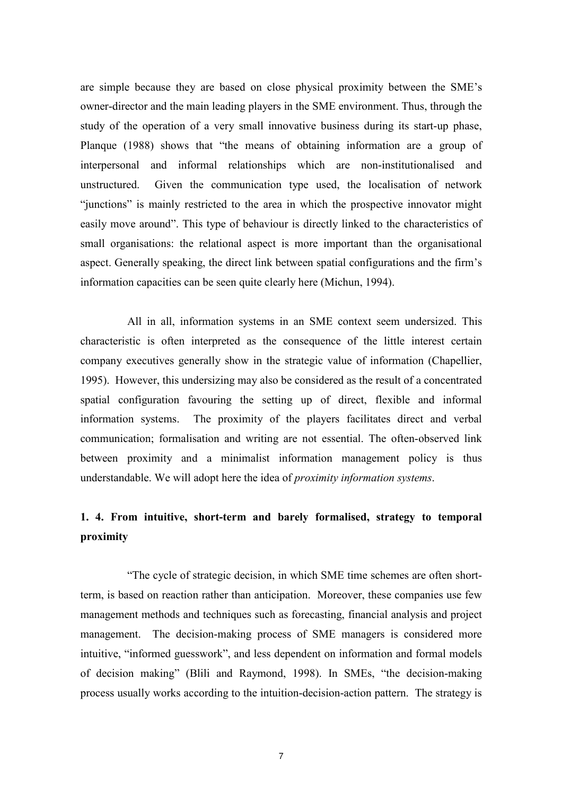are simple because they are based on close physical proximity between the SME's owner-director and the main leading players in the SME environment. Thus, through the study of the operation of a very small innovative business during its start-up phase, Planque (1988) shows that "the means of obtaining information are a group of interpersonal and informal relationships which are non-institutionalised and Given the communication type used, the localisation of network unstructured. "junctions" is mainly restricted to the area in which the prospective innovator might easily move around". This type of behaviour is directly linked to the characteristics of small organisations: the relational aspect is more important than the organisational aspect. Generally speaking, the direct link between spatial configurations and the firm's information capacities can be seen quite clearly here (Michun, 1994).

All in all, information systems in an SME context seem undersized. This characteristic is often interpreted as the consequence of the little interest certain company executives generally show in the strategic value of information (Chapellier, 1995). However, this undersizing may also be considered as the result of a concentrated spatial configuration favouring the setting up of direct, flexible and informal information systems. The proximity of the players facilitates direct and verbal communication; formalisation and writing are not essential. The often-observed link between proximity and a minimalist information management policy is thus understandable. We will adopt here the idea of *proximity information systems*.

# 1. 4. From intuitive, short-term and barely formalised, strategy to temporal proximity

"The cycle of strategic decision, in which SME time schemes are often shortterm, is based on reaction rather than anticipation. Moreover, these companies use few management methods and techniques such as forecasting, financial analysis and project management. The decision-making process of SME managers is considered more intuitive, "informed guesswork", and less dependent on information and formal models of decision making" (Blili and Raymond, 1998). In SMEs, "the decision-making process usually works according to the intuition-decision-action pattern. The strategy is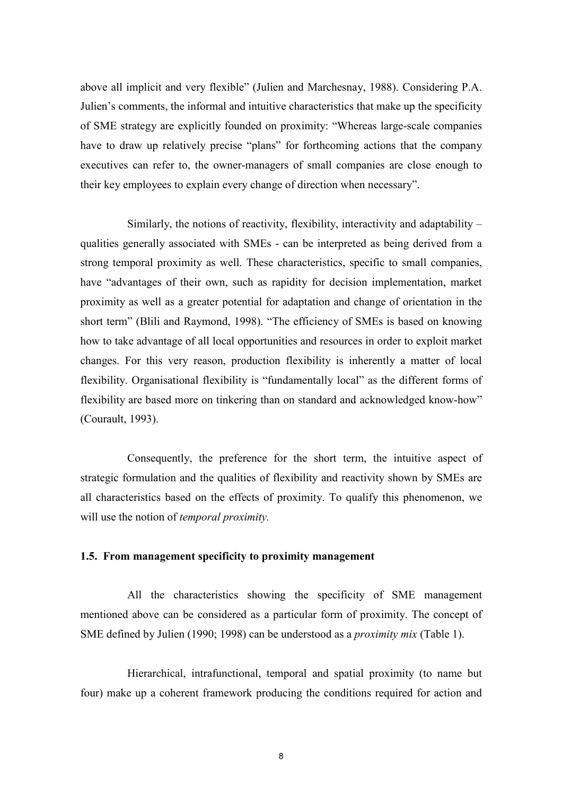above all implicit and very flexible" (Julien and Marchesnay, 1988). Considering P.A. Julien's comments, the informal and intuitive characteristics that make up the specificity of SME strategy are explicitly founded on proximity: "Whereas large-scale companies" have to draw up relatively precise "plans" for forthcoming actions that the company executives can refer to, the owner-managers of small companies are close enough to their key employees to explain every change of direction when necessary".

Similarly, the notions of reactivity, flexibility, interactivity and adaptability – qualities generally associated with SMEs - can be interpreted as being derived from a strong temporal proximity as well. These characteristics, specific to small companies, have "advantages of their own, such as rapidity for decision implementation, market proximity as well as a greater potential for adaptation and change of orientation in the short term" (Blili and Raymond, 1998). "The efficiency of SMEs is based on knowing how to take advantage of all local opportunities and resources in order to exploit market changes. For this very reason, production flexibility is inherently a matter of local flexibility. Organisational flexibility is "fundamentally local" as the different forms of flexibility are based more on tinkering than on standard and acknowledged know-how" (Courault, 1993).

Consequently, the preference for the short term, the intuitive aspect of strategic formulation and the qualities of flexibility and reactivity shown by SMEs are all characteristics based on the effects of proximity. To qualify this phenomenon, we will use the notion of *temporal proximity*.

## 1.5. From management specificity to proximity management

All the characteristics showing the specificity of SME management mentioned above can be considered as a particular form of proximity. The concept of SME defined by Julien (1990; 1998) can be understood as a *proximity mix* (Table 1).

Hierarchical, intrafunctional, temporal and spatial proximity (to name but four) make up a coherent framework producing the conditions required for action and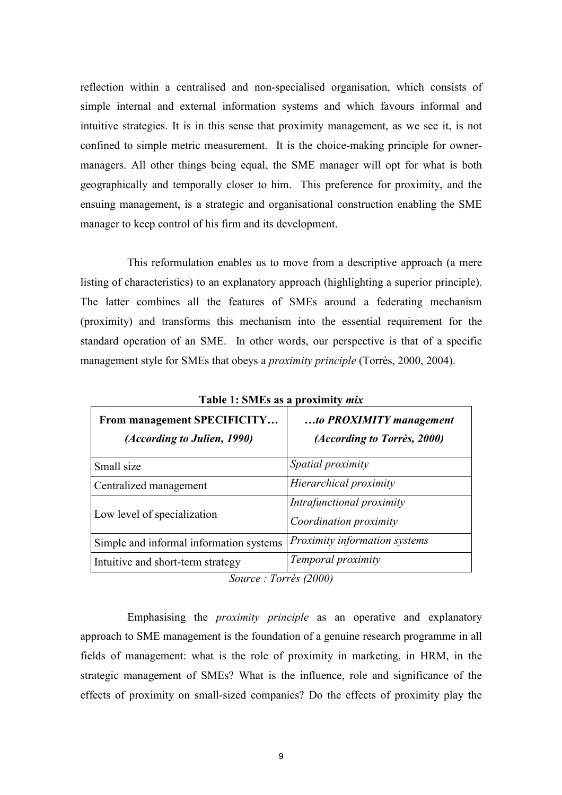reflection within a centralised and non-specialised organisation, which consists of simple internal and external information systems and which favours informal and intuitive strategies. It is in this sense that proximity management, as we see it, is not confined to simple metric measurement. It is the choice-making principle for ownermanagers. All other things being equal, the SME manager will opt for what is both geographically and temporally closer to him. This preference for proximity, and the ensuing management, is a strategic and organisational construction enabling the SME manager to keep control of his firm and its development.

This reformulation enables us to move from a descriptive approach (a mere listing of characteristics) to an explanatory approach (highlighting a superior principle). The latter combines all the features of SMEs around a federating mechanism (proximity) and transforms this mechanism into the essential requirement for the standard operation of an SME. In other words, our perspective is that of a specific management style for SMEs that obeys a *proximity principle* (Torrès, 2000, 2004).

| From management SPECIFICITY<br>(According to Julien, 1990) | to PROXIMITY management<br>(According to Torrès, 2000) |
|------------------------------------------------------------|--------------------------------------------------------|
| Small size                                                 | Spatial proximity                                      |
| Centralized management                                     | Hierarchical proximity                                 |
| Low level of specialization                                | Intrafunctional proximity<br>Coordination proximity    |
| Simple and informal information systems                    | Proximity information systems                          |
| Intuitive and short-term strategy                          | Temporal proximity                                     |

Table 1: SMEs as a proximity *mix* 

Source: Torrès (2000)

Emphasising the *proximity principle* as an operative and explanatory approach to SME management is the foundation of a genuine research programme in all fields of management: what is the role of proximity in marketing, in HRM, in the strategic management of SMEs? What is the influence, role and significance of the effects of proximity on small-sized companies? Do the effects of proximity play the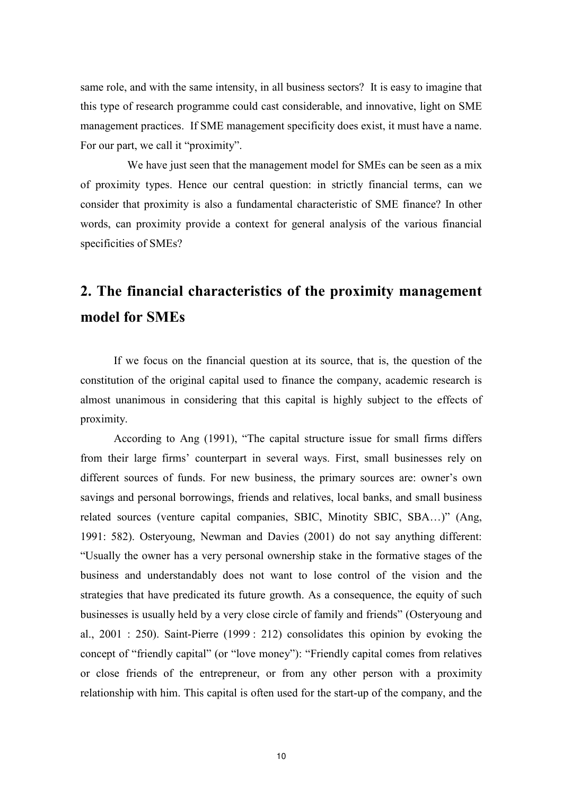same role, and with the same intensity, in all business sectors? It is easy to imagine that this type of research programme could cast considerable, and innovative, light on SME management practices. If SME management specificity does exist, it must have a name. For our part, we call it "proximity".

We have just seen that the management model for SMEs can be seen as a mix of proximity types. Hence our central question: in strictly financial terms, can we consider that proximity is also a fundamental characteristic of SME finance? In other words, can proximity provide a context for general analysis of the various financial specificities of SMEs?

# 2. The financial characteristics of the proximity management model for SMEs

If we focus on the financial question at its source, that is, the question of the constitution of the original capital used to finance the company, academic research is almost unanimous in considering that this capital is highly subject to the effects of proximity.

According to Ang (1991), "The capital structure issue for small firms differs from their large firms' counterpart in several ways. First, small businesses rely on different sources of funds. For new business, the primary sources are: owner's own savings and personal borrowings, friends and relatives, local banks, and small business related sources (venture capital companies, SBIC, Minotity SBIC, SBA...)" (Ang. 1991: 582). Osteryoung, Newman and Davies (2001) do not say anything different: "Usually the owner has a very personal ownership stake in the formative stages of the business and understandably does not want to lose control of the vision and the strategies that have predicated its future growth. As a consequence, the equity of such businesses is usually held by a very close circle of family and friends" (Osteryoung and al.,  $2001 : 250$ ). Saint-Pierre (1999: 212) consolidates this opinion by evoking the concept of "friendly capital" (or "love money"): "Friendly capital comes from relatives or close friends of the entrepreneur, or from any other person with a proximity relationship with him. This capital is often used for the start-up of the company, and the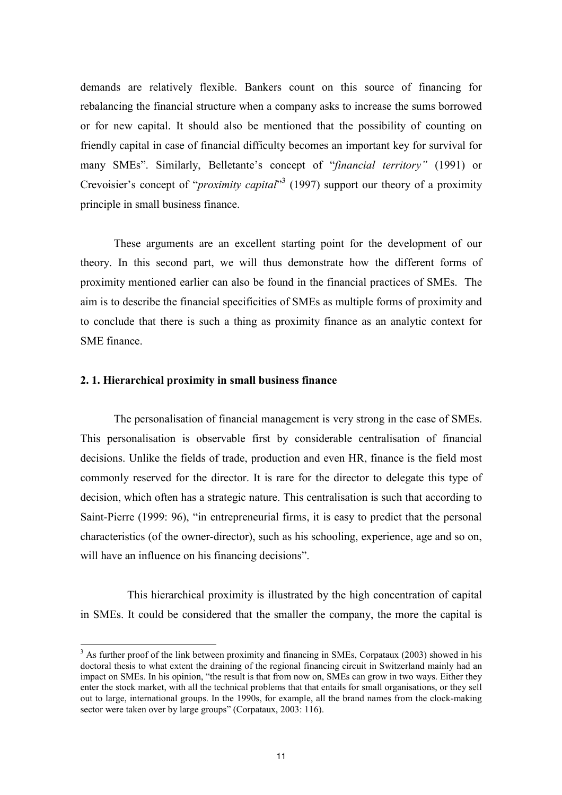demands are relatively flexible. Bankers count on this source of financing for rebalancing the financial structure when a company asks to increase the sums borrowed or for new capital. It should also be mentioned that the possibility of counting on friendly capital in case of financial difficulty becomes an important key for survival for many SMEs". Similarly, Belletante's concept of "financial territory" (1991) or Crevoisier's concept of "*proximity capital*"<sup>3</sup> (1997) support our theory of a proximity principle in small business finance.

These arguments are an excellent starting point for the development of our theory. In this second part, we will thus demonstrate how the different forms of proximity mentioned earlier can also be found in the financial practices of SMEs. The aim is to describe the financial specificities of SMEs as multiple forms of proximity and to conclude that there is such a thing as proximity finance as an analytic context for SME finance.

### 2.1. Hierarchical proximity in small business finance

The personalisation of financial management is very strong in the case of SMEs. This personalisation is observable first by considerable centralisation of financial decisions. Unlike the fields of trade, production and even HR, finance is the field most commonly reserved for the director. It is rare for the director to delegate this type of decision, which often has a strategic nature. This centralisation is such that according to Saint-Pierre (1999: 96), "in entrepreneurial firms, it is easy to predict that the personal characteristics (of the owner-director), such as his schooling, experience, age and so on, will have an influence on his financing decisions".

This hierarchical proximity is illustrated by the high concentration of capital in SMEs. It could be considered that the smaller the company, the more the capital is

 $3$  As further proof of the link between proximity and financing in SMEs, Corpataux (2003) showed in his doctoral thesis to what extent the draining of the regional financing circuit in Switzerland mainly had an impact on SMEs. In his opinion, "the result is that from now on, SMEs can grow in two ways. Either they enter the stock market, with all the technical problems that that entails for small organisations, or they sell out to large, international groups. In the 1990s, for example, all the brand names from the clock-making sector were taken over by large groups" (Corpataux, 2003: 116).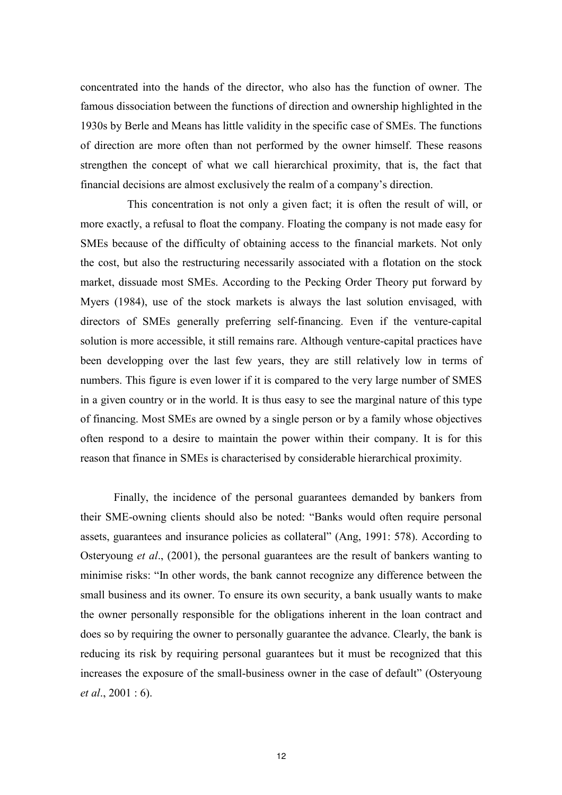concentrated into the hands of the director, who also has the function of owner. The famous dissociation between the functions of direction and ownership highlighted in the 1930s by Berle and Means has little validity in the specific case of SMEs. The functions of direction are more often than not performed by the owner himself. These reasons strengthen the concept of what we call hierarchical proximity, that is, the fact that financial decisions are almost exclusively the realm of a company's direction.

This concentration is not only a given fact; it is often the result of will, or more exactly, a refusal to float the company. Floating the company is not made easy for SMEs because of the difficulty of obtaining access to the financial markets. Not only the cost, but also the restructuring necessarily associated with a flotation on the stock market, dissuade most SMEs. According to the Pecking Order Theory put forward by Myers (1984), use of the stock markets is always the last solution envisaged, with directors of SMEs generally preferring self-financing. Even if the venture-capital solution is more accessible, it still remains rare. Although venture-capital practices have been developping over the last few years, they are still relatively low in terms of numbers. This figure is even lower if it is compared to the very large number of SMES in a given country or in the world. It is thus easy to see the marginal nature of this type of financing. Most SMEs are owned by a single person or by a family whose objectives often respond to a desire to maintain the power within their company. It is for this reason that finance in SMEs is characterised by considerable hierarchical proximity.

Finally, the incidence of the personal guarantees demanded by bankers from their SME-owning clients should also be noted: "Banks would often require personal assets, guarantees and insurance policies as collateral" (Ang, 1991: 578). According to Osteryoung et al., (2001), the personal guarantees are the result of bankers wanting to minimise risks: "In other words, the bank cannot recognize any difference between the small business and its owner. To ensure its own security, a bank usually wants to make the owner personally responsible for the obligations inherent in the loan contract and does so by requiring the owner to personally guarantee the advance. Clearly, the bank is reducing its risk by requiring personal guarantees but it must be recognized that this increases the exposure of the small-business owner in the case of default" (Osteryoung *et al.*,  $2001 : 6$ .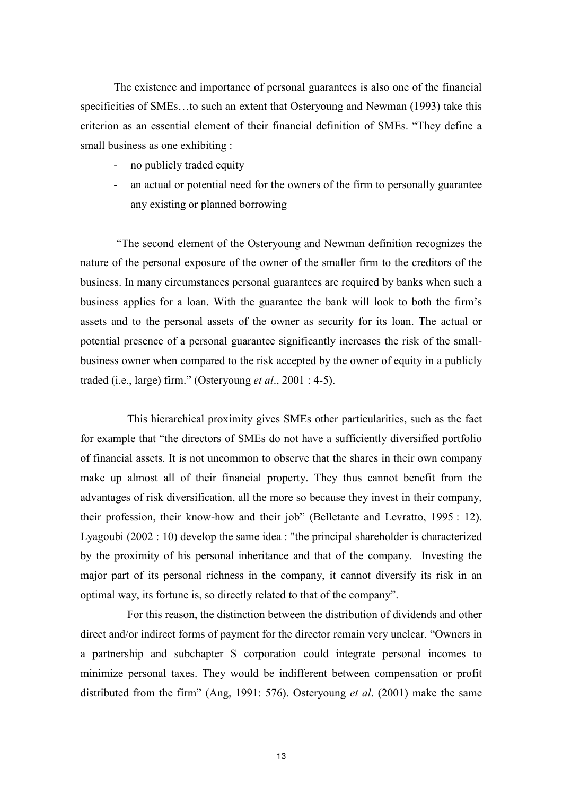The existence and importance of personal guarantees is also one of the financial specificities of SMEs...to such an extent that Osteryoung and Newman (1993) take this criterion as an essential element of their financial definition of SMEs. "They define a small business as one exhibiting :

- no publicly traded equity
- an actual or potential need for the owners of the firm to personally guarantee any existing or planned borrowing

"The second element of the Osteryoung and Newman definition recognizes the nature of the personal exposure of the owner of the smaller firm to the creditors of the business. In many circumstances personal guarantees are required by banks when such a business applies for a loan. With the guarantee the bank will look to both the firm's assets and to the personal assets of the owner as security for its loan. The actual or potential presence of a personal guarantee significantly increases the risk of the smallbusiness owner when compared to the risk accepted by the owner of equity in a publicly traded (i.e., large) firm." (Osteryoung *et al.*, 2001 : 4-5).

This hierarchical proximity gives SMEs other particularities, such as the fact for example that "the directors of SMEs do not have a sufficiently diversified portfolio of financial assets. It is not uncommon to observe that the shares in their own company make up almost all of their financial property. They thus cannot benefit from the advantages of risk diversification, all the more so because they invest in their company, their profession, their know-how and their job" (Belletante and Levratto, 1995 : 12). Lyagoubi  $(2002:10)$  develop the same idea : "the principal shareholder is characterized by the proximity of his personal inheritance and that of the company. Investing the major part of its personal richness in the company, it cannot diversify its risk in an optimal way, its fortune is, so directly related to that of the company".

For this reason, the distinction between the distribution of dividends and other direct and/or indirect forms of payment for the director remain very unclear. "Owners in a partnership and subchapter S corporation could integrate personal incomes to minimize personal taxes. They would be indifferent between compensation or profit distributed from the firm" (Ang, 1991: 576). Osteryoung *et al.* (2001) make the same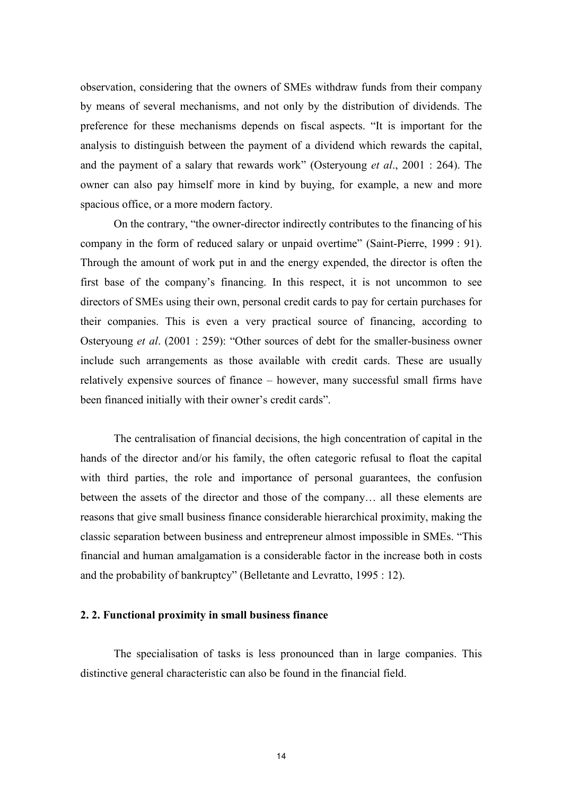observation, considering that the owners of SMEs withdraw funds from their company by means of several mechanisms, and not only by the distribution of dividends. The preference for these mechanisms depends on fiscal aspects. "It is important for the analysis to distinguish between the payment of a dividend which rewards the capital, and the payment of a salary that rewards work" (Osteryoung *et al.*, 2001 : 264). The owner can also pay himself more in kind by buying, for example, a new and more spacious office, or a more modern factory.

On the contrary, "the owner-director indirectly contributes to the financing of his company in the form of reduced salary or unpaid overtime" (Saint-Pierre, 1999 : 91). Through the amount of work put in and the energy expended, the director is often the first base of the company's financing. In this respect, it is not uncommon to see directors of SMEs using their own, personal credit cards to pay for certain purchases for their companies. This is even a very practical source of financing, according to Osteryoung et al. (2001 : 259): "Other sources of debt for the smaller-business owner include such arrangements as those available with credit cards. These are usually relatively expensive sources of finance – however, many successful small firms have been financed initially with their owner's credit cards".

The centralisation of financial decisions, the high concentration of capital in the hands of the director and/or his family, the often categoric refusal to float the capital with third parties, the role and importance of personal guarantees, the confusion between the assets of the director and those of the company... all these elements are reasons that give small business finance considerable hierarchical proximity, making the classic separation between business and entrepreneur almost impossible in SMEs. "This financial and human amalgamation is a considerable factor in the increase both in costs and the probability of bankruptcy" (Belletante and Levratto, 1995 : 12).

# 2. 2. Functional proximity in small business finance

The specialisation of tasks is less pronounced than in large companies. This distinctive general characteristic can also be found in the financial field.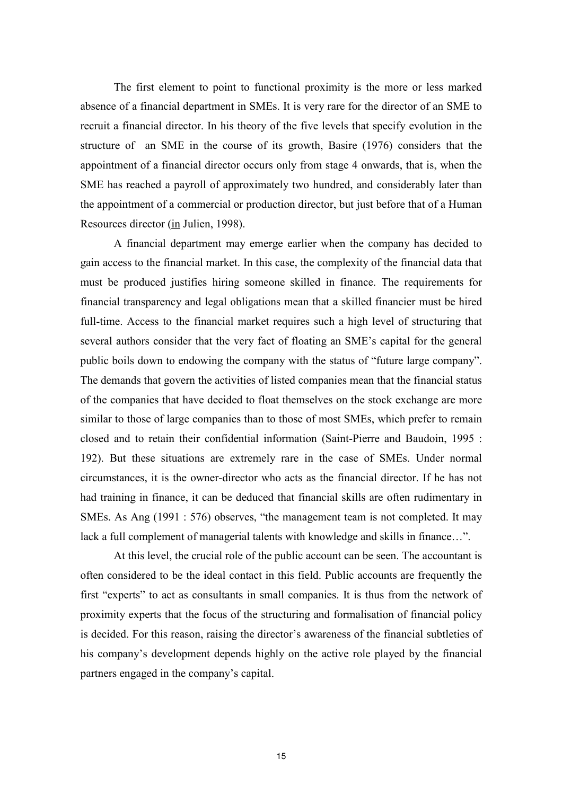The first element to point to functional proximity is the more or less marked absence of a financial department in SMEs. It is very rare for the director of an SME to recruit a financial director. In his theory of the five levels that specify evolution in the structure of an SME in the course of its growth, Basire (1976) considers that the appointment of a financial director occurs only from stage 4 onwards, that is, when the SME has reached a payroll of approximately two hundred, and considerably later than the appointment of a commercial or production director, but just before that of a Human Resources director (in Julien, 1998).

A financial department may emerge earlier when the company has decided to gain access to the financial market. In this case, the complexity of the financial data that must be produced justifies hiring someone skilled in finance. The requirements for financial transparency and legal obligations mean that a skilled financier must be hired full-time. Access to the financial market requires such a high level of structuring that several authors consider that the very fact of floating an SME's capital for the general public boils down to endowing the company with the status of "future large company". The demands that govern the activities of listed companies mean that the financial status of the companies that have decided to float themselves on the stock exchange are more similar to those of large companies than to those of most SMEs, which prefer to remain closed and to retain their confidential information (Saint-Pierre and Baudoin, 1995: 192). But these situations are extremely rare in the case of SMEs. Under normal circumstances, it is the owner-director who acts as the financial director. If he has not had training in finance, it can be deduced that financial skills are often rudimentary in SMEs. As Ang (1991 : 576) observes, "the management team is not completed. It may lack a full complement of managerial talents with knowledge and skills in finance...".

At this level, the crucial role of the public account can be seen. The accountant is often considered to be the ideal contact in this field. Public accounts are frequently the first "experts" to act as consultants in small companies. It is thus from the network of proximity experts that the focus of the structuring and formalisation of financial policy is decided. For this reason, raising the director's awareness of the financial subtleties of his company's development depends highly on the active role played by the financial partners engaged in the company's capital.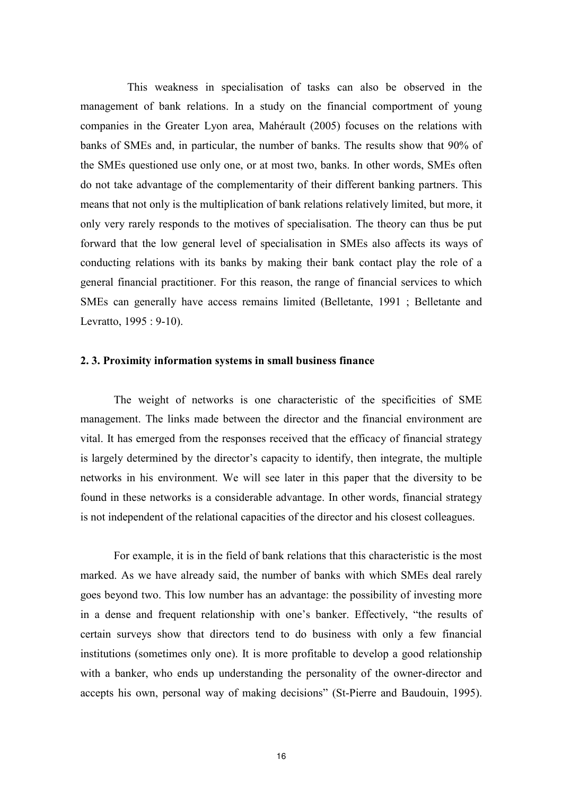This weakness in specialisation of tasks can also be observed in the management of bank relations. In a study on the financial comportment of young companies in the Greater Lyon area, Mahérault (2005) focuses on the relations with banks of SMEs and, in particular, the number of banks. The results show that 90% of the SMEs questioned use only one, or at most two, banks. In other words, SMEs often do not take advantage of the complementarity of their different banking partners. This means that not only is the multiplication of bank relations relatively limited, but more, it only very rarely responds to the motives of specialisation. The theory can thus be put forward that the low general level of specialisation in SMEs also affects its ways of conducting relations with its banks by making their bank contact play the role of a general financial practitioner. For this reason, the range of financial services to which SMEs can generally have access remains limited (Belletante, 1991; Belletante and Levratto, 1995 : 9-10).

#### 2.3. Proximity information systems in small business finance

The weight of networks is one characteristic of the specificities of SME management. The links made between the director and the financial environment are vital. It has emerged from the responses received that the efficacy of financial strategy is largely determined by the director's capacity to identify, then integrate, the multiple networks in his environment. We will see later in this paper that the diversity to be found in these networks is a considerable advantage. In other words, financial strategy is not independent of the relational capacities of the director and his closest colleagues.

For example, it is in the field of bank relations that this characteristic is the most marked. As we have already said, the number of banks with which SMEs deal rarely goes beyond two. This low number has an advantage: the possibility of investing more in a dense and frequent relationship with one's banker. Effectively, "the results of certain surveys show that directors tend to do business with only a few financial institutions (sometimes only one). It is more profitable to develop a good relationship with a banker, who ends up understanding the personality of the owner-director and accepts his own, personal way of making decisions" (St-Pierre and Baudouin, 1995).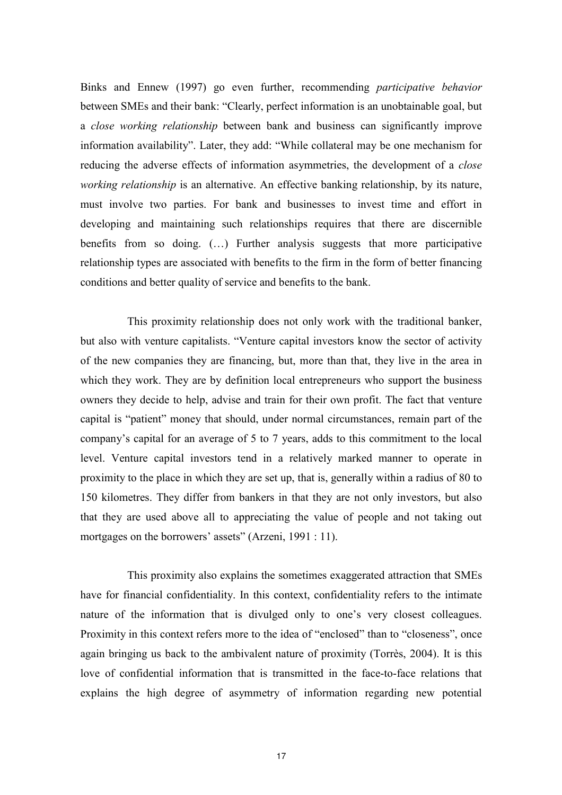Binks and Ennew (1997) go even further, recommending *participative behavior* between SMEs and their bank: "Clearly, perfect information is an unobtainable goal, but a close working relationship between bank and business can significantly improve information availability". Later, they add: "While collateral may be one mechanism for reducing the adverse effects of information asymmetries, the development of a *close* working relationship is an alternative. An effective banking relationship, by its nature, must involve two parties. For bank and businesses to invest time and effort in developing and maintaining such relationships requires that there are discernible benefits from so doing. (...) Further analysis suggests that more participative relationship types are associated with benefits to the firm in the form of better financing conditions and better quality of service and benefits to the bank.

This proximity relationship does not only work with the traditional banker, but also with venture capitalists. "Venture capital investors know the sector of activity of the new companies they are financing, but, more than that, they live in the area in which they work. They are by definition local entrepreneurs who support the business owners they decide to help, advise and train for their own profit. The fact that venture capital is "patient" money that should, under normal circumstances, remain part of the company's capital for an average of 5 to 7 years, adds to this commitment to the local level. Venture capital investors tend in a relatively marked manner to operate in proximity to the place in which they are set up, that is, generally within a radius of 80 to 150 kilometres. They differ from bankers in that they are not only investors, but also that they are used above all to appreciating the value of people and not taking out mortgages on the borrowers' assets" (Arzeni, 1991 : 11).

This proximity also explains the sometimes exaggerated attraction that SMEs have for financial confidentiality. In this context, confidentiality refers to the intimate nature of the information that is divulged only to one's very closest colleagues. Proximity in this context refers more to the idea of "enclosed" than to "closeness", once again bringing us back to the ambivalent nature of proximity (Torrès, 2004). It is this love of confidential information that is transmitted in the face-to-face relations that explains the high degree of asymmetry of information regarding new potential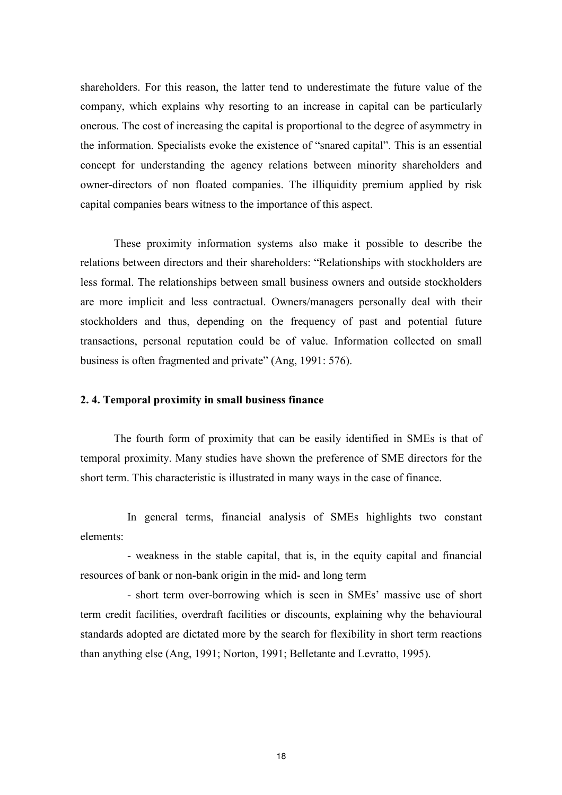shareholders. For this reason, the latter tend to underestimate the future value of the company, which explains why resorting to an increase in capital can be particularly onerous. The cost of increasing the capital is proportional to the degree of asymmetry in the information. Specialists evoke the existence of "snared capital". This is an essential concept for understanding the agency relations between minority shareholders and owner-directors of non floated companies. The illiquidity premium applied by risk capital companies bears witness to the importance of this aspect.

These proximity information systems also make it possible to describe the relations between directors and their shareholders: "Relationships with stockholders are less formal. The relationships between small business owners and outside stockholders are more implicit and less contractual. Owners/managers personally deal with their stockholders and thus, depending on the frequency of past and potential future transactions, personal reputation could be of value. Information collected on small business is often fragmented and private" (Ang, 1991: 576).

## 2.4. Temporal proximity in small business finance

The fourth form of proximity that can be easily identified in SMEs is that of temporal proximity. Many studies have shown the preference of SME directors for the short term. This characteristic is illustrated in many ways in the case of finance.

In general terms, financial analysis of SMEs highlights two constant elements<sup>.</sup>

- weakness in the stable capital, that is, in the equity capital and financial resources of bank or non-bank origin in the mid- and long term

- short term over-borrowing which is seen in SMEs' massive use of short term credit facilities, overdraft facilities or discounts, explaining why the behavioural standards adopted are dictated more by the search for flexibility in short term reactions than anything else (Ang, 1991; Norton, 1991; Belletante and Levratto, 1995).

18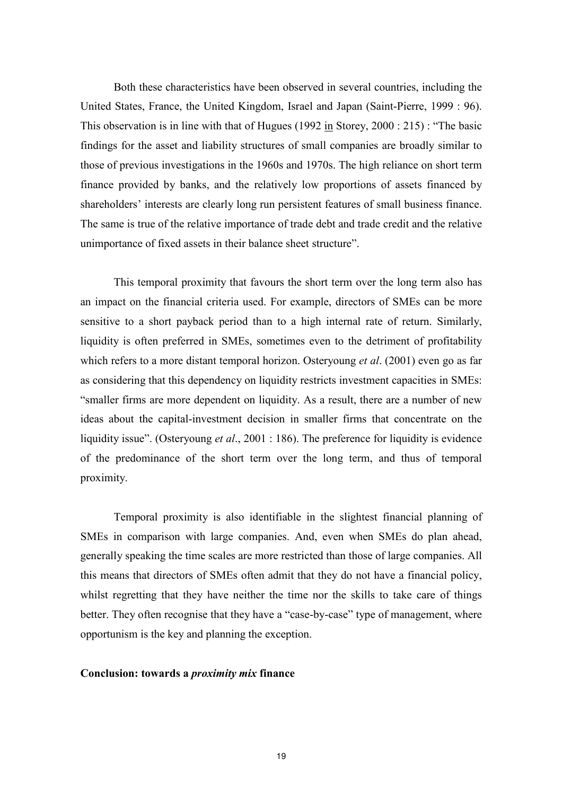Both these characteristics have been observed in several countries, including the United States, France, the United Kingdom, Israel and Japan (Saint-Pierre, 1999 : 96). This observation is in line with that of Hugues  $(1992 \text{ in Storey}, 2000 : 215)$ : "The basic findings for the asset and liability structures of small companies are broadly similar to those of previous investigations in the 1960s and 1970s. The high reliance on short term finance provided by banks, and the relatively low proportions of assets financed by shareholders' interests are clearly long run persistent features of small business finance. The same is true of the relative importance of trade debt and trade credit and the relative unimportance of fixed assets in their balance sheet structure".

This temporal proximity that favours the short term over the long term also has an impact on the financial criteria used. For example, directors of SMEs can be more sensitive to a short payback period than to a high internal rate of return. Similarly, liquidity is often preferred in SMEs, sometimes even to the detriment of profitability which refers to a more distant temporal horizon. Osteryoung *et al.* (2001) even go as far as considering that this dependency on liquidity restricts investment capacities in SMEs: "smaller firms are more dependent on liquidity. As a result, there are a number of new ideas about the capital-investment decision in smaller firms that concentrate on the liquidity issue". (Osteryoung *et al.*, 2001 : 186). The preference for liquidity is evidence of the predominance of the short term over the long term, and thus of temporal proximity.

Temporal proximity is also identifiable in the slightest financial planning of SMEs in comparison with large companies. And, even when SMEs do plan ahead, generally speaking the time scales are more restricted than those of large companies. All this means that directors of SMEs often admit that they do not have a financial policy, whilst regretting that they have neither the time nor the skills to take care of things better. They often recognise that they have a "case-by-case" type of management, where opportunism is the key and planning the exception.

### Conclusion: towards a *proximity mix* finance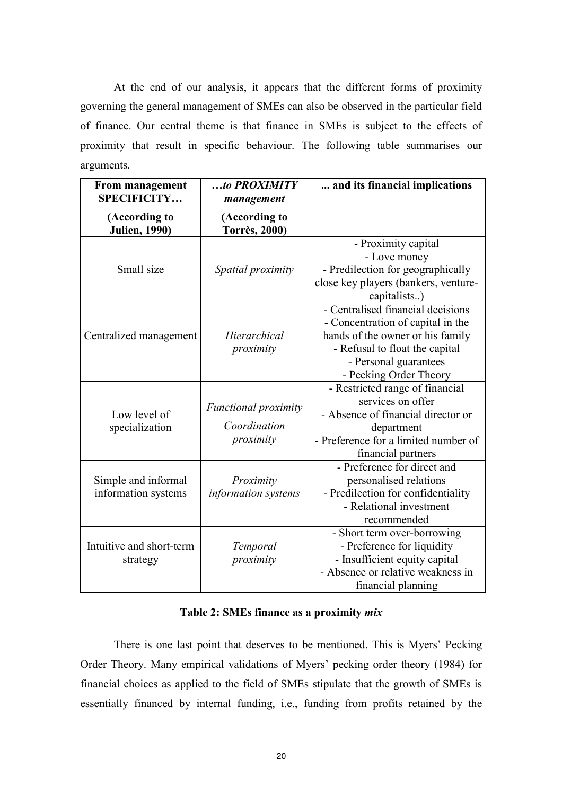At the end of our analysis, it appears that the different forms of proximity governing the general management of SMEs can also be observed in the particular field of finance. Our central theme is that finance in SMEs is subject to the effects of proximity that result in specific behaviour. The following table summarises our arguments.

| <b>From management</b><br><b>SPECIFICITY</b> | to PROXIMITY<br>management                               | and its financial implications                                                                                                                                                                  |
|----------------------------------------------|----------------------------------------------------------|-------------------------------------------------------------------------------------------------------------------------------------------------------------------------------------------------|
| (According to<br><b>Julien</b> , 1990)       | (According to<br><b>Torrès, 2000)</b>                    |                                                                                                                                                                                                 |
| Small size                                   | Spatial proximity                                        | - Proximity capital<br>- Love money<br>- Predilection for geographically<br>close key players (bankers, venture-<br>capitalists)                                                                |
| Centralized management                       | Hierarchical<br>proximity                                | - Centralised financial decisions<br>- Concentration of capital in the<br>hands of the owner or his family<br>- Refusal to float the capital<br>- Personal guarantees<br>- Pecking Order Theory |
| Low level of<br>specialization               | <b>Functional proximity</b><br>Coordination<br>proximity | - Restricted range of financial<br>services on offer<br>- Absence of financial director or<br>department<br>- Preference for a limited number of<br>financial partners                          |
| Simple and informal<br>information systems   | Proximity<br>information systems                         | - Preference for direct and<br>personalised relations<br>- Predilection for confidentiality<br>- Relational investment<br>recommended                                                           |
| Intuitive and short-term<br>strategy         | Temporal<br>proximity                                    | - Short term over-borrowing<br>- Preference for liquidity<br>- Insufficient equity capital<br>- Absence or relative weakness in<br>financial planning                                           |

## Table 2: SMEs finance as a proximity mix

There is one last point that deserves to be mentioned. This is Myers' Pecking Order Theory. Many empirical validations of Myers' pecking order theory (1984) for financial choices as applied to the field of SMEs stipulate that the growth of SMEs is essentially financed by internal funding, i.e., funding from profits retained by the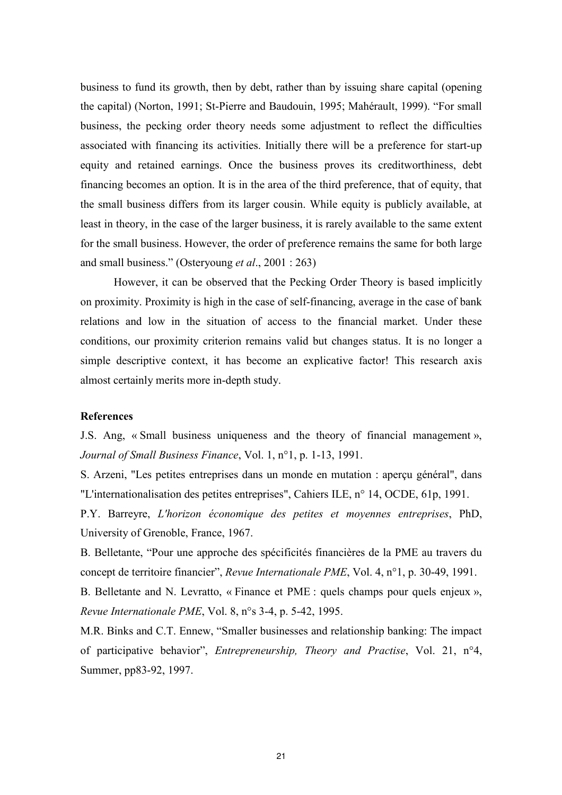business to fund its growth, then by debt, rather than by issuing share capital (opening the capital) (Norton, 1991; St-Pierre and Baudouin, 1995; Mahérault, 1999). "For small business, the pecking order theory needs some adjustment to reflect the difficulties associated with financing its activities. Initially there will be a preference for start-up equity and retained earnings. Once the business proves its creditworthiness, debt financing becomes an option. It is in the area of the third preference, that of equity, that the small business differs from its larger cousin. While equity is publicly available, at least in theory, in the case of the larger business, it is rarely available to the same extent for the small business. However, the order of preference remains the same for both large and small business." (Osteryoung *et al.*, 2001 : 263)

However, it can be observed that the Pecking Order Theory is based implicitly on proximity. Proximity is high in the case of self-financing, average in the case of bank relations and low in the situation of access to the financial market. Under these conditions, our proximity criterion remains valid but changes status. It is no longer a simple descriptive context, it has become an explicative factor! This research axis almost certainly merits more in-depth study.

## **References**

J.S. Ang, «Small business uniqueness and the theory of financial management», Journal of Small Business Finance, Vol. 1, n°1, p. 1-13, 1991.

S. Arzeni, "Les petites entreprises dans un monde en mutation : aperçu général", dans "L'internationalisation des petites entreprises", Cahiers ILE, n° 14, OCDE, 61p, 1991.

P.Y. Barreyre, L'horizon économique des petites et moyennes entreprises, PhD, University of Grenoble, France, 1967.

B. Belletante, "Pour une approche des spécificités financières de la PME au travers du concept de territoire financier", Revue Internationale PME, Vol. 4, n°1, p. 30-49, 1991.

B. Belletante and N. Levratto, «Finance et PME : quels champs pour quels enjeux », Revue Internationale PME, Vol. 8, n°s 3-4, p. 5-42, 1995.

M.R. Binks and C.T. Ennew, "Smaller businesses and relationship banking: The impact of participative behavior", Entrepreneurship, Theory and Practise, Vol. 21, n°4, Summer, pp83-92, 1997.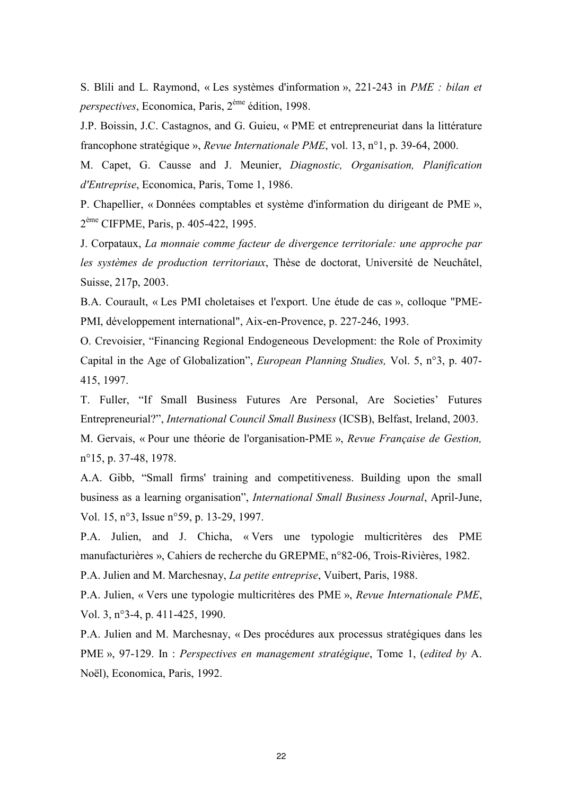S. Blili and L. Raymond, « Les systèmes d'information », 221-243 in PME : bilan et *perspectives*, Economica, Paris, 2<sup>ème</sup> édition, 1998.

J.P. Boissin, J.C. Castagnos, and G. Guieu, « PME et entrepreneuriat dans la littérature francophone stratégique », Revue Internationale PME, vol. 13, n°1, p. 39-64, 2000.

M. Capet, G. Causse and J. Meunier, Diagnostic, Organisation, Planification d'Entreprise, Economica, Paris, Tome 1, 1986.

P. Chapellier, « Données comptables et système d'information du dirigeant de PME », 2<sup>ème</sup> CIFPME, Paris, p. 405-422, 1995.

J. Corpataux, La monnaie comme facteur de divergence territoriale: une approche par les systèmes de production territoriaux, Thèse de doctorat, Université de Neuchâtel, Suisse, 217p, 2003.

B.A. Courault, « Les PMI choletaises et l'export. Une étude de cas », colloque "PME-PMI, développement international", Aix-en-Provence, p. 227-246, 1993.

O. Crevoisier, "Financing Regional Endogeneous Development: the Role of Proximity Capital in the Age of Globalization", European Planning Studies, Vol. 5, n°3, p. 407-415, 1997.

T. Fuller, "If Small Business Futures Are Personal, Are Societies' Futures Entrepreneurial?". *International Council Small Business* (ICSB). Belfast. Ireland. 2003.

M. Gervais, « Pour une théorie de l'organisation-PME », Revue Française de Gestion,  $n^{\circ}15$ , p. 37-48, 1978.

A.A. Gibb, "Small firms' training and competitiveness. Building upon the small business as a learning organisation", International Small Business Journal, April-June, Vol. 15, n°3, Issue n°59, p. 13-29, 1997.

P.A. Julien, and J. Chicha, « Vers une typologie multicritères des PME manufacturières », Cahiers de recherche du GREPME, n°82-06, Trois-Rivières, 1982.

P.A. Julien and M. Marchesnay, *La petite entreprise*, Vuibert, Paris, 1988.

P.A. Julien, « Vers une typologie multicritères des PME », Revue Internationale PME, Vol. 3, n°3-4, p. 411-425, 1990.

P.A. Julien and M. Marchesnay, « Des procédures aux processus stratégiques dans les PME », 97-129. In : Perspectives en management stratégique, Tome 1, (edited by A. Noël), Economica, Paris, 1992.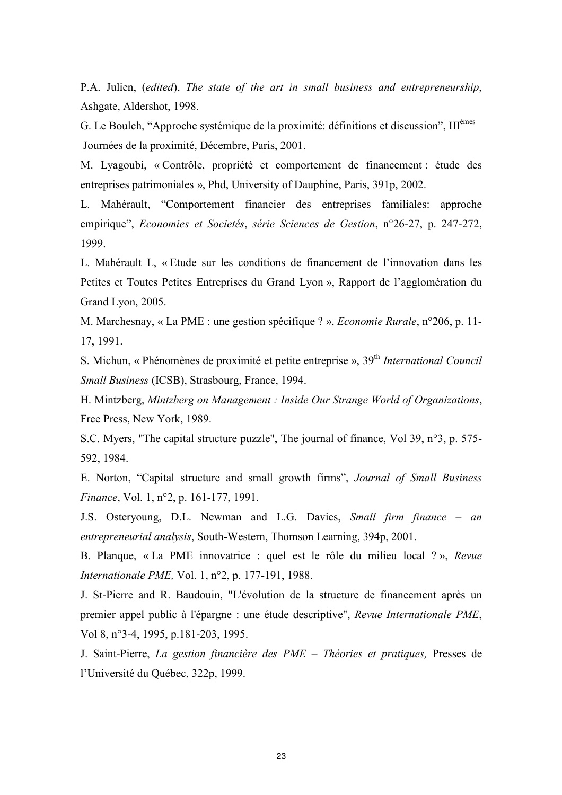P.A. Julien, (edited), The state of the art in small business and entrepreneurship, Ashgate, Aldershot, 1998.

G. Le Boulch, "Approche systémique de la proximité: définitions et discussion". Ill<sup>èmes</sup> Journées de la proximité, Décembre, Paris, 2001.

M. Lyagoubi, « Contrôle, propriété et comportement de financement : étude des entreprises patrimoniales », Phd, University of Dauphine, Paris, 391p, 2002.

L. Mahérault, "Comportement financier des entreprises familiales: approche empirique", Economies et Societés, série Sciences de Gestion, n°26-27, p. 247-272, 1999.

L. Mahérault L. « Etude sur les conditions de financement de l'innovation dans les Petites et Toutes Petites Entreprises du Grand Lyon », Rapport de l'agglomération du Grand Lyon, 2005.

M. Marchesnay, « La PME : une gestion spécifique ? », Economie Rurale, n°206, p. 11-17, 1991.

S. Michun, « Phénomènes de proximité et petite entreprise », 39<sup>th</sup> International Council Small Business (ICSB), Strasbourg, France, 1994.

H. Mintzberg, Mintzberg on Management : Inside Our Strange World of Organizations, Free Press, New York, 1989.

S.C. Myers, "The capital structure puzzle", The journal of finance, Vol 39, n°3, p. 575-592, 1984.

E. Norton, "Capital structure and small growth firms", Journal of Small Business Finance, Vol. 1, n°2, p. 161-177, 1991.

J.S. Osteryoung, D.L. Newman and L.G. Davies, Small firm finance – an entrepreneurial analysis, South-Western, Thomson Learning, 394p, 2001.

B. Planque, «La PME innovatrice : quel est le rôle du milieu local ?», Revue *Internationale PME*, Vol. 1, n°2, p. 177-191, 1988.

J. St-Pierre and R. Baudouin, "L'évolution de la structure de financement après un premier appel public à l'épargne : une étude descriptive", Revue Internationale PME, Vol 8, n°3-4, 1995, p.181-203, 1995.

J. Saint-Pierre, La gestion financière des PME – Théories et pratiques, Presses de l'Université du Québec, 322p, 1999.